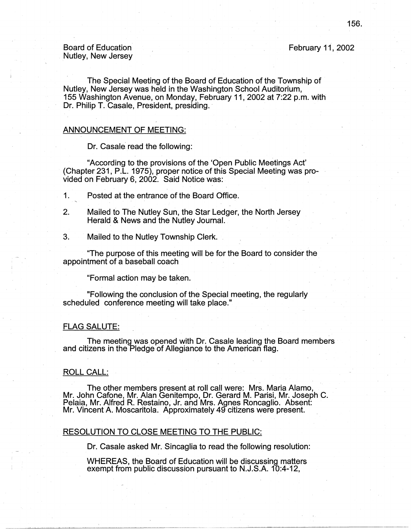Board of Education Nutley, New Jersey February 11, 2002

The Special Meeting of the Board of Education of the Township of Nutley, New Jersey was held in the Washington School Auditorium, 155 Washington Avenue, on Monday, February 11, 2002 at 7:22 p.m. with Dr. Philip T. Casale, President, presiding.

#### ANNOUNCEMENT OF MEETING:

Dr. Casale read the following:

"According to the provisions of the 'Open Public Meetings Act' (Chapter 231; P.L. 1975), proper notice of this Special Meeting was provided on February 6, 2002. Said Notice was:

1. Posted at the entrance of the Board Office.

- 2. Mailed to The Nutley Sun, the Star Ledger, the North Jersey Herald & News and the Nutley Journal.
- 3. Mailed to the Nutley Township Clerk.

"The purpose of this meeting will be for the Board to consider the appointment of a baseball coach

"Formal action may be taken.

"Following the conclusion of the Special meeting, the regularly scheduled conference meeting will take place."

### FLAG SALUTE:

The meeting was opened with Dr. Casale leading the Board members and citizens in the Pledge of Allegiance to the American flag.

## ROLL CALL:

The other members present at roll call were: Mrs. Maria Alamo, Mr. John Catone, Mr. Alan Genitempo, Dr. Gerard M. Parisi, Mr. Joseph C. Palaia, Mr. Alfred R. Restaino, Jr. and Mrs. Agnes Roncaglio. Absent: Mr. Vincent A. Moscaritola. Approximately 49 citizens were present.

#### RESOLUTION TO CLOSE MEETING TO THE PUBLIC:

Dr. Casale asked Mr. Sincaglia to read the following resolution:

WHEREAS, the Board of Education will be discussing matters exempt from public discussion pursuant to N.J.S.A. 10:4-12,